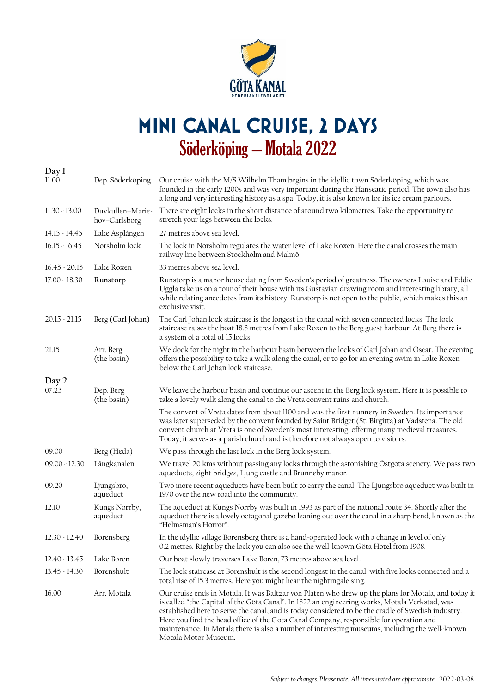

## **Mini Canal cruise, 2 days**  Söderköping – Motala 2022

| Day 1                    |                                   |                                                                                                                                                                                                                                                                                                                                                                                                                                                                                                                                |
|--------------------------|-----------------------------------|--------------------------------------------------------------------------------------------------------------------------------------------------------------------------------------------------------------------------------------------------------------------------------------------------------------------------------------------------------------------------------------------------------------------------------------------------------------------------------------------------------------------------------|
| 11.00                    | Dep. Söderköping                  | Our cruise with the M/S Wilhelm Tham begins in the idyllic town Söderköping, which was<br>founded in the early 1200s and was very important during the Hanseatic period. The town also has<br>a long and very interesting history as a spa. Today, it is also known for its ice cream parlours.                                                                                                                                                                                                                                |
| $11.30 - 13.00$          | Duvkullen-Marie-<br>hov-Carlsborg | There are eight locks in the short distance of around two kilometres. Take the opportunity to<br>stretch your legs between the locks.                                                                                                                                                                                                                                                                                                                                                                                          |
| $14.15 - 14.45$          | Lake Asplången                    | 27 metres above sea level.                                                                                                                                                                                                                                                                                                                                                                                                                                                                                                     |
| $16.15 - 16.45$          | Norsholm lock                     | The lock in Norsholm regulates the water level of Lake Roxen. Here the canal crosses the main<br>railway line between Stockholm and Malmö.                                                                                                                                                                                                                                                                                                                                                                                     |
| $16.45 - 20.15$          | Lake Roxen                        | 33 metres above sea level.                                                                                                                                                                                                                                                                                                                                                                                                                                                                                                     |
| $17.00 - 18.30$          | Runstorp                          | Runstorp is a manor house dating from Sweden's period of greatness. The owners Louise and Eddie<br>Uggla take us on a tour of their house with its Gustavian drawing room and interesting library, all<br>while relating anecdotes from its history. Runstorp is not open to the public, which makes this an<br>exclusive visit.                                                                                                                                                                                               |
| $20.15 - 21.15$          | Berg (Carl Johan)                 | The Carl Johan lock staircase is the longest in the canal with seven connected locks. The lock<br>staircase raises the boat 18.8 metres from Lake Roxen to the Berg guest harbour. At Berg there is<br>a system of a total of 15 locks.                                                                                                                                                                                                                                                                                        |
| 21.15                    | Arr. Berg<br>(the basin)          | We dock for the night in the harbour basin between the locks of Carl Johan and Oscar. The evening<br>offers the possibility to take a walk along the canal, or to go for an evening swim in Lake Roxen<br>below the Carl Johan lock staircase.                                                                                                                                                                                                                                                                                 |
| Day 2                    |                                   |                                                                                                                                                                                                                                                                                                                                                                                                                                                                                                                                |
| 07.25                    | Dep. Berg<br>(the basin)          | We leave the harbour basin and continue our ascent in the Berg lock system. Here it is possible to<br>take a lovely walk along the canal to the Vreta convent ruins and church.                                                                                                                                                                                                                                                                                                                                                |
|                          |                                   | The convent of Vreta dates from about 1100 and was the first nunnery in Sweden. Its importance<br>was later superseded by the convent founded by Saint Bridget (St. Birgitta) at Vadstena. The old<br>convent church at Vreta is one of Sweden's most interesting, offering many medieval treasures.<br>Today, it serves as a parish church and is therefore not always open to visitors.                                                                                                                                      |
| 09.00                    | Berg (Heda)                       | We pass through the last lock in the Berg lock system.                                                                                                                                                                                                                                                                                                                                                                                                                                                                         |
| $09.00 - 12.30$          | Långkanalen                       | We travel 20 kms without passing any locks through the astonishing Östgöta scenery. We pass two<br>aqueducts, eight bridges, Ljung castle and Brunneby manor.                                                                                                                                                                                                                                                                                                                                                                  |
| 09.20                    | Ljungsbro,<br>aqueduct            | Two more recent aqueducts have been built to carry the canal. The Ljungsbro aqueduct was built in<br>1970 over the new road into the community.                                                                                                                                                                                                                                                                                                                                                                                |
| 12.10                    | Kungs Norrby,<br>aqueduct         | The aqueduct at Kungs Norrby was built in 1993 as part of the national route 34. Shortly after the<br>aqueduct there is a lovely octagonal gazebo leaning out over the canal in a sharp bend, known as the<br>"Helmsman's Horror".                                                                                                                                                                                                                                                                                             |
| 12.30 - 12.40 Borensberg |                                   | In the idyllic village Borensberg there is a hand-operated lock with a change in level of only<br>0.2 metres. Right by the lock you can also see the well-known Göta Hotel from 1908.                                                                                                                                                                                                                                                                                                                                          |
| $12.40 - 13.45$          | Lake Boren                        | Our boat slowly traverses Lake Boren, 73 metres above sea level.                                                                                                                                                                                                                                                                                                                                                                                                                                                               |
| $13.45 - 14.30$          | Borenshult                        | The lock staircase at Borenshult is the second longest in the canal, with five locks connected and a<br>total rise of 15.3 metres. Here you might hear the nightingale sing.                                                                                                                                                                                                                                                                                                                                                   |
| 16.00                    | Arr. Motala                       | Our cruise ends in Motala. It was Baltzar von Platen who drew up the plans for Motala, and today it<br>is called "the Capital of the Göta Canal". In 1822 an engineering works, Motala Verkstad, was<br>established here to serve the canal, and is today considered to be the cradle of Swedish industry.<br>Here you find the head office of the Gota Canal Company, responsible for operation and<br>maintenance. In Motala there is also a number of interesting museums, including the well-known<br>Motala Motor Museum. |